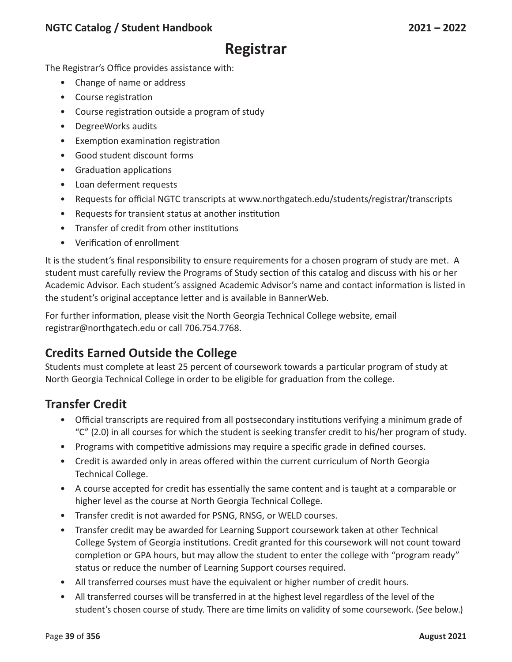#### **NGTC Catalog / Student Handbook 2021 – 2022**

# **Registrar**

The Registrar's Office provides assistance with:

- Change of name or address
- Course registration
- Course registration outside a program of study
- DegreeWorks audits
- Exemption examination registration
- Good student discount forms
- Graduation applications
- Loan deferment requests
- Requests for official NGTC transcripts at www.northgatech.edu/students/registrar/transcripts
- Requests for transient status at another institution
- Transfer of credit from other institutions
- Verification of enrollment

It is the student's final responsibility to ensure requirements for a chosen program of study are met. A student must carefully review the Programs of Study section of this catalog and discuss with his or her Academic Advisor. Each student's assigned Academic Advisor's name and contact information is listed in the student's original acceptance letter and is available in BannerWeb.

For further information, please visit the North Georgia Technical College website, email registrar@northgatech.edu or call 706.754.7768.

# **Credits Earned Outside the College**

Students must complete at least 25 percent of coursework towards a particular program of study at North Georgia Technical College in order to be eligible for graduation from the college.

### **Transfer Credit**

- Official transcripts are required from all postsecondary institutions verifying a minimum grade of "C" (2.0) in all courses for which the student is seeking transfer credit to his/her program of study.
- Programs with competitive admissions may require a specific grade in defined courses.
- Credit is awarded only in areas offered within the current curriculum of North Georgia Technical College.
- A course accepted for credit has essentially the same content and is taught at a comparable or higher level as the course at North Georgia Technical College.
- Transfer credit is not awarded for PSNG, RNSG, or WELD courses.
- Transfer credit may be awarded for Learning Support coursework taken at other Technical College System of Georgia institutions. Credit granted for this coursework will not count toward completion or GPA hours, but may allow the student to enter the college with "program ready" status or reduce the number of Learning Support courses required.
- All transferred courses must have the equivalent or higher number of credit hours.
- All transferred courses will be transferred in at the highest level regardless of the level of the student's chosen course of study. There are time limits on validity of some coursework. (See below.)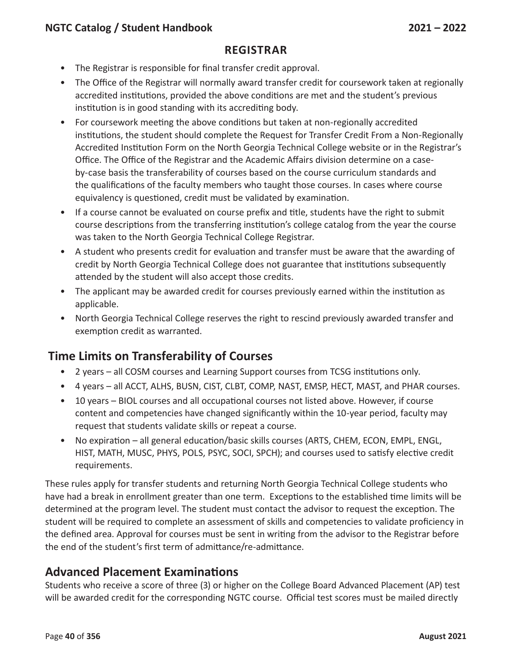#### **NGTC Catalog / Student Handbook 2021 – 2022**

#### **Regist rar**

- The Registrar is responsible for final transfer credit approval.
- The Office of the Registrar will normally award transfer credit for coursework taken at regionally accredited institutions, provided the above conditions are met and the student's previous institution is in good standing with its accrediting body.
- For coursework meeting the above conditions but taken at non-regionally accredited institutions, the student should complete the Request for Transfer Credit From a Non-Regionally Accredited Institution Form on the North Georgia Technical College website or in the Registrar's Office. The Office of the Registrar and the Academic Affairs division determine on a caseby-case basis the transferability of courses based on the course curriculum standards and the qualifications of the faculty members who taught those courses. In cases where course equivalency is questioned, credit must be validated by examination.
- If a course cannot be evaluated on course prefix and title, students have the right to submit course descriptions from the transferring institution's college catalog from the year the course was taken to the North Georgia Technical College Registrar.
- A student who presents credit for evaluation and transfer must be aware that the awarding of credit by North Georgia Technical College does not guarantee that institutions subsequently attended by the student will also accept those credits.
- The applicant may be awarded credit for courses previously earned within the institution as applicable.
- North Georgia Technical College reserves the right to rescind previously awarded transfer and exemption credit as warranted.

### **Time Limits on Transferability of Courses**

- 2 years all COSM courses and Learning Support courses from TCSG institutions only.
- 4 years all ACCT, ALHS, BUSN, CIST, CLBT, COMP, NAST, EMSP, HECT, MAST, and PHAR courses.
- 10 years BIOL courses and all occupational courses not listed above. However, if course content and competencies have changed significantly within the 10-year period, faculty may request that students validate skills or repeat a course.
- No expiration all general education/basic skills courses (ARTS, CHEM, ECON, EMPL, ENGL, HIST, MATH, MUSC, PHYS, POLS, PSYC, SOCI, SPCH); and courses used to satisfy elective credit requirements.

These rules apply for transfer students and returning North Georgia Technical College students who have had a break in enrollment greater than one term. Exceptions to the established time limits will be determined at the program level. The student must contact the advisor to request the exception. The student will be required to complete an assessment of skills and competencies to validate proficiency in the defined area. Approval for courses must be sent in writing from the advisor to the Registrar before the end of the student's first term of admittance/re-admittance.

### **Advanced Placement Examinations**

Students who receive a score of three (3) or higher on the College Board Advanced Placement (AP) test will be awarded credit for the corresponding NGTC course. Official test scores must be mailed directly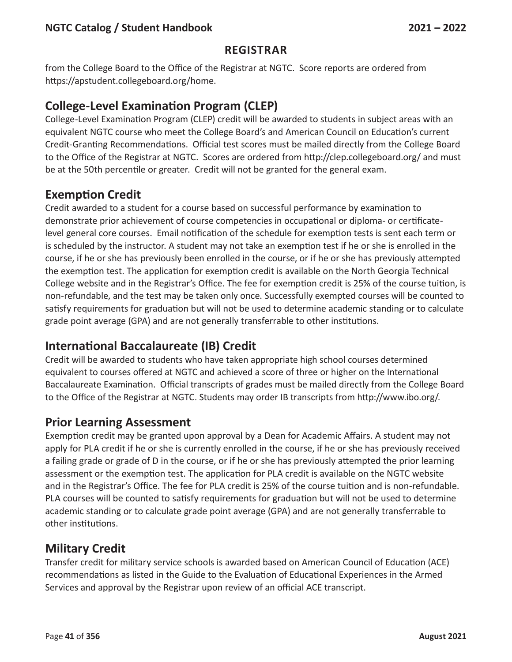#### **Regist rar**

from the College Board to the Office of the Registrar at NGTC. Score reports are ordered from https://apstudent.collegeboard.org/home.

# **College-Level Examination Program (CLEP)**

College-Level Examination Program (CLEP) credit will be awarded to students in subject areas with an equivalent NGTC course who meet the College Board's and American Council on Education's current Credit-Granting Recommendations. Official test scores must be mailed directly from the College Board to the Office of the Registrar at NGTC. Scores are ordered from http://clep.collegeboard.org/ and must be at the 50th percentile or greater. Credit will not be granted for the general exam.

# **Exemption Credit**

Credit awarded to a student for a course based on successful performance by examination to demonstrate prior achievement of course competencies in occupational or diploma- or certificatelevel general core courses. Email notification of the schedule for exemption tests is sent each term or is scheduled by the instructor. A student may not take an exemption test if he or she is enrolled in the course, if he or she has previously been enrolled in the course, or if he or she has previously attempted the exemption test. The application for exemption credit is available on the North Georgia Technical College website and in the Registrar's Office. The fee for exemption credit is 25% of the course tuition, is non-refundable, and the test may be taken only once. Successfully exempted courses will be counted to satisfy requirements for graduation but will not be used to determine academic standing or to calculate grade point average (GPA) and are not generally transferrable to other institutions.

# **International Baccalaureate (IB) Credit**

Credit will be awarded to students who have taken appropriate high school courses determined equivalent to courses offered at NGTC and achieved a score of three or higher on the International Baccalaureate Examination. Official transcripts of grades must be mailed directly from the College Board to the Office of the Registrar at NGTC. Students may order IB transcripts from http://www.ibo.org/.

### **Prior Learning Assessment**

Exemption credit may be granted upon approval by a Dean for Academic Affairs. A student may not apply for PLA credit if he or she is currently enrolled in the course, if he or she has previously received a failing grade or grade of D in the course, or if he or she has previously attempted the prior learning assessment or the exemption test. The application for PLA credit is available on the NGTC website and in the Registrar's Office. The fee for PLA credit is 25% of the course tuition and is non-refundable. PLA courses will be counted to satisfy requirements for graduation but will not be used to determine academic standing or to calculate grade point average (GPA) and are not generally transferrable to other institutions.

# **Military Credit**

Transfer credit for military service schools is awarded based on American Council of Education (ACE) recommendations as listed in the Guide to the Evaluation of Educational Experiences in the Armed Services and approval by the Registrar upon review of an official ACE transcript.